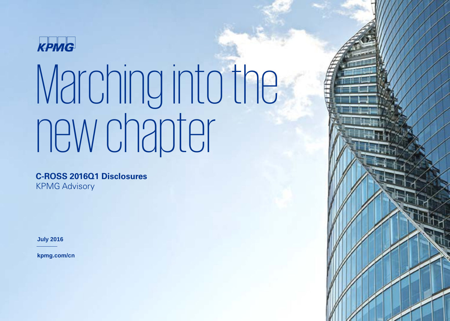

**C-ROSS 2016Q1 Disclosures** KPMG Advisory

**July 2016**

**kpmg.com/cn**

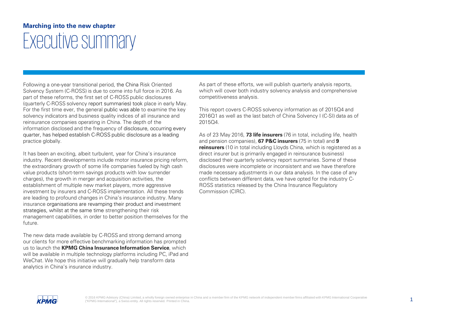## **Marching into the new chapter** Executive summary

Following a one-year transitional period, the China Risk Oriented Solvency System (C-ROSS) is due to come into full force in 2016. As part of these reforms, the first set of C-ROSS public disclosures (quarterly C-ROSS solvency report summaries) took place in early May. For the first time ever, the general public was able to examine the key solvency indicators and business quality indices of all insurance and reinsurance companies operating in China. The depth of the information disclosed and the frequency of disclosure, occurring every quarter, has helped establish C-ROSS public disclosure as a leading practice globally.

It has been an exciting, albeit turbulent, year for China's insurance industry. Recent developments include motor insurance pricing reform, the extraordinary growth of some life companies fueled by high cash value products (short-term savings products with low surrender charges), the growth in merger and acquisition activities, the establishment of multiple new market players, more aggressive investment by insurers and C-ROSS implementation. All these trends are leading to profound changes in China's insurance industry. Many insurance organisations are revamping their product and investment strategies, whilst at the same time strengthening their risk management capabilities, in order to better position themselves for the future.

The new data made available by C-ROSS and strong demand among our clients for more effective benchmarking information has prompted us to launch the **KPMG China Insurance Information Service**, which will be available in multiple technology platforms including PC, iPad and WeChat. We hope this initiative will gradually help transform data analytics in China's insurance industry.

As part of these efforts, we will publish quarterly analysis reports, which will cover both industry solvency analysis and comprehensive competitiveness analysis.

This report covers C-ROSS solvency information as of 2015Q4 and 2016Q1 as well as the last batch of China Solvency I (C-SI) data as of 2015Q4.

As of 23 May 2016, **73 life insurers** (76 in total, including life, health and pension companies), **67 P&C insurers** (75 in total) and **9 reinsurers** (10 in total including Lloyds China, which is registered as a direct insurer but is primarily engaged in reinsurance business) disclosed their quarterly solvency report summaries. Some of these disclosures were incomplete or inconsistent and we have therefore made necessary adjustments in our data analysis. In the case of any conflicts between different data, we have opted for the industry C-ROSS statistics released by the China Insurance Regulatory Commission (CIRC).

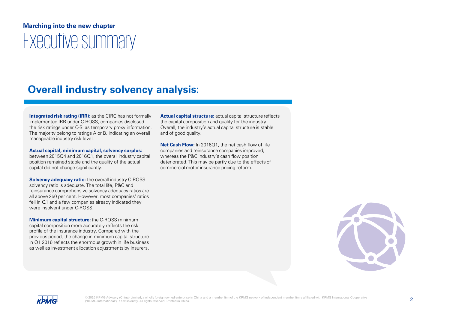## **Marching into the new chapter** Executive summary

## **Overall industry solvency analysis:**

**Integrated risk rating (IRR):** as the CIRC has not formally implemented IRR under C-ROSS, companies disclosed the risk ratings under C-SI as temporary proxy information. The majority belong to ratings A or B, indicating an overall manageable industry risk level.

#### **Actual capital, minimum capital, solvency surplus:**

between 2015Q4 and 2016Q1, the overall industry capital position remained stable and the quality of the actual capital did not change significantly.

**Solvency adequacy ratio:** the overall industry C-ROSS solvency ratio is adequate. The total life, P&C and reinsurance comprehensive solvency adequacy ratios are all above 250 per cent. However, most companies' ratios fell in Q1 and a few companies already indicated they were insolvent under C-ROSS.

**Minimum capital structure:** the C-ROSS minimum capital composition more accurately reflects the risk profile of the insurance industry. Compared with the previous period, the change in minimum capital structure in Q1 2016 reflects the enormous growth in life business as well as investment allocation adjustments by insurers. **Actual capital structure:** actual capital structure reflects the capital composition and quality for the industry. Overall, the industry's actual capital structure is stable and of good quality.

**Net Cash Flow:** In 2016Q1, the net cash flow of life companies and reinsurance companies improved, whereas the P&C industry's cash flow position deteriorated. This may be partly due to the effects of commercial motor insurance pricing reform.



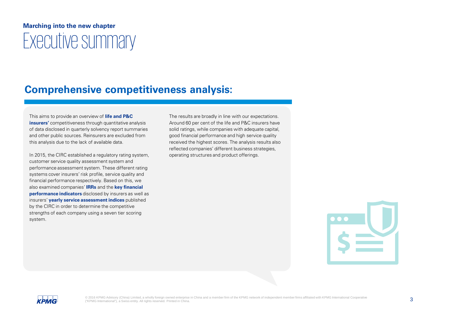## **Marching into the new chapter** Executive summary

## **Comprehensive competitiveness analysis:**

This aims to provide an overview of **life and P&C insurers'** competitiveness through quantitative analysis of data disclosed in quarterly solvency report summaries and other public sources. Reinsurers are excluded from this analysis due to the lack of available data.

In 2015, the CIRC established a regulatory rating system, customer service quality assessment system and performance assessment system. These different rating systems cover insurers' risk profile, service quality and financial performance respectively. Based on this, we also examined companies' **IRRs** and the **key financial performance indicators** disclosed by insurers as well as insurers' **yearly service assessment indices** published by the CIRC in order to determine the competitive strengths of each company using a seven tier scoring system.

The results are broadly in line with our expectations. Around 60 per cent of the life and P&C insurers have solid ratings, while companies with adequate capital, good financial performance and high service quality received the highest scores. The analysis results also reflected companies' different business strategies, operating structures and product offerings.



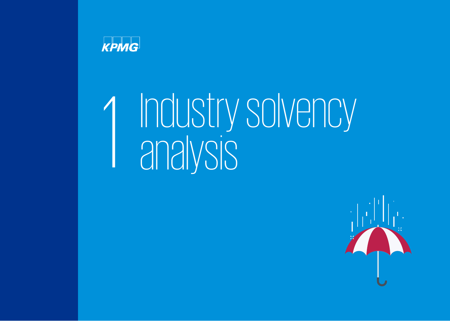

# 1 Industry solvency analysis<br>analysis

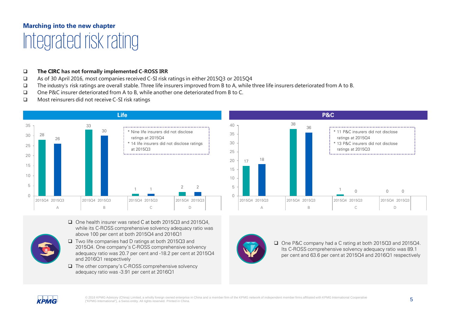## **Marching into the new chapter** Integrated risk rating

#### **The CIRC has not formally implemented C-ROSS IRR**

- As of 30 April 2016, most companies received C-SI risk ratings in either 2015Q3 or 2015Q4
- The industry's risk ratings are overall stable. Three life insurers improved from B to A, while three life insurers deteriorated from A to B.
- One P&C insurer deteriorated from A to B, while another one deteriorated from B to C.
- □ Most reinsurers did not receive C-SI risk ratings



- □ One health insurer was rated C at both 2015Q3 and 2015Q4. while its C-ROSS comprehensive solvency adequacy ratio was above 100 per cent at both 2015Q4 and 2016Q1
- Two life companies had D ratings at both 2015Q3 and 2015Q4. One company's C-ROSS comprehensive solvency adequacy ratio was 20.7 per cent and -18.2 per cent at 2015Q4 and 2016Q1 respectively
- $\Box$  The other company's C-ROSS comprehensive solvency adequacy ratio was -3.91 per cent at 2016Q1



**P&C**



 One P&C company had a C rating at both 2015Q3 and 2015Q4. Its C-ROSS comprehensive solvency adequacy ratio was 89.1 per cent and 63.6 per cent at 2015Q4 and 2016Q1 respectively

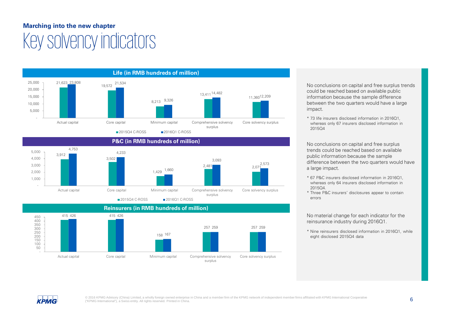## **Marching into the new chapter** Key solvency indicators







No conclusions on capital and free surplus trends could be reached based on available public information because the sample difference between the two quarters would have a large impact.

\* 73 life insurers disclosed information in 2016Q1, whereas only 67 insurers disclosed information in 2015Q4

No conclusions on capital and free surplus trends could be reached based on available public information because the sample difference between the two quarters would have a large impact.

- \* 67 P&C insurers disclosed information in 2016Q1, whereas only 64 insurers disclosed information in 2015Q4.
- \* Three P&C insurers' disclosures appear to contain errors

No material change for each indicator for the reinsurance industry during 2016Q1.

\* Nine reinsurers disclosed information in 2016Q1, while eight disclosed 2015Q4 data

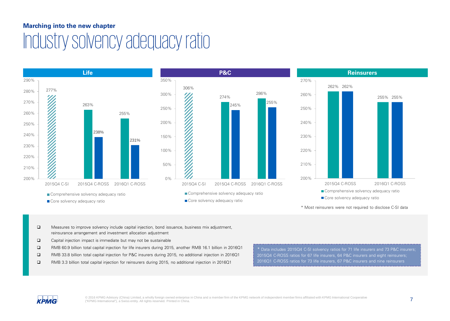## **Marching into the new chapter** Industry solvency adequacy ratio



- Measures to improve solvency include capital injection, bond issuance, business mix adjustment, reinsurance arrangement and investment allocation adjustment
- $\Box$  Capital injection impact is immediate but may not be sustainable
- RMB 60.9 billion total capital injection for life insurers during 2015, another RMB 16.1 billion in 2016Q1
- RMB 33.8 billion total capital injection for P&C insurers during 2015, no additional injection in 2016Q1
- RMB 3.3 billion total capital injection for reinsurers during 2015, no additional injection in 2016Q1

\* Data includes 2015Q4 C-SI solvency ratios for 71 life insurers and 73 P&C insurers; 2015Q4 C-ROSS ratios for 67 life insurers, 64 P&C insurers and eight reinsurers; 2016Q1 C-ROSS ratios for 73 life insurers, 67 P&C insurers and nine reinsurers

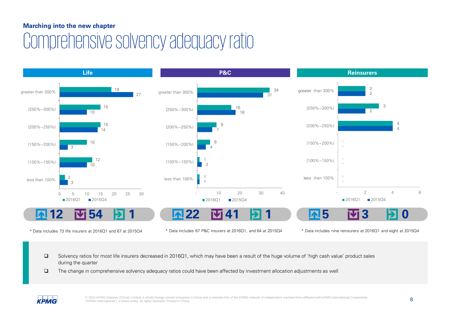## Comprehensive solvency adequacy ratio



\* Data includes 73 life insurers at 2016Q1 and 67 at 2015Q4 \* Data includes 67 P&C insurers at 2016Q1, and 64 at 2015Q4 \* Data includes nine reinsurers at 2016Q1 and eight at 2015Q4

 Solvency ratios for most life insurers decreased in 2016Q1, which may have been a result of the huge volume of 'high cash value' product sales during the quarter

The change in comprehensive solvency adequacy ratios could have been affected by investment allocation adjustments as well

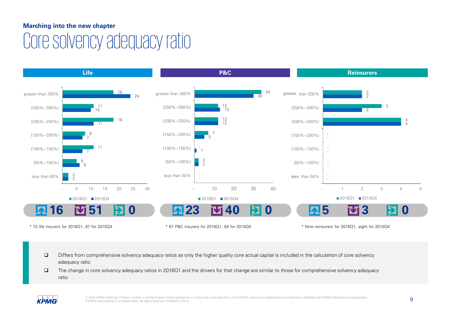## Core solvency adequacy ratio



- Differs from comprehensive solvency adequacy ratios as only the higher quality core actual capital is included in the calculation of core solvency adequacy ratio
- The change in core solvency adequacy ratios in 2016Q1 and the drivers for that change are similar to those for comprehensive solvency adequacy ratio

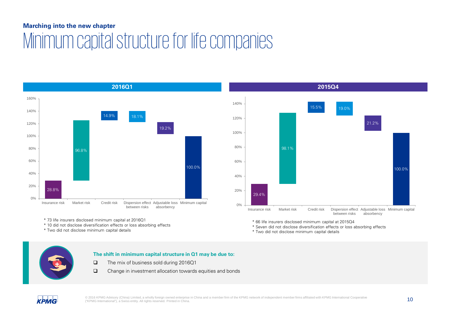## **Marching into the new chapter** Minimum capital structure for life companies





\* 73 life insurers disclosed minimum capital at 2016Q1

\* 10 did not disclose diversification effects or loss absorbing effects

\* Two did not disclose minimum capital details

\* 66 life insurers disclosed minimum capital at 2015Q4

\* Seven did not disclose diversification effects or loss absorbing effects

\* Two did not disclose minimum capital details

#### **The shift in minimum capital structure in Q1 may be due to:**

- The mix of business sold during 2016Q1
- Change in investment allocation towards equities and bonds

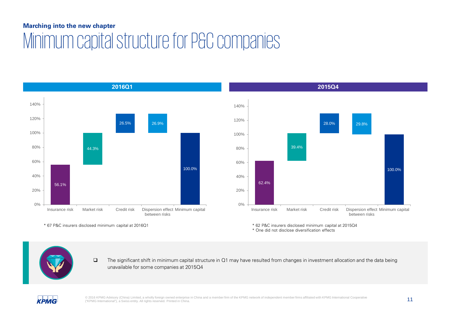## **Marching into the new chapter** Minimum capital structure for P&C companies





\* One did not disclose diversification effects

\* 67 P&C insurers disclosed minimum capital at 2016Q1 \* 62 P&C insurers disclosed minimum capital at 2015Q4

 $\Box$  The significant shift in minimum capital structure in Q1 may have resulted from changes in investment allocation and the data being unavailable for some companies at 2015Q4



© 2016 KPMG Advisory (China) Limited, a wholly foreign owned enterprise in China and a member firm of the KPMG network of independent member firms affiliated with KPMG International Cooperative<br>
<sup>"KPMG</sup> International"), a ("KPMG International"), a Swiss entity. All rights reserved. Printed in China.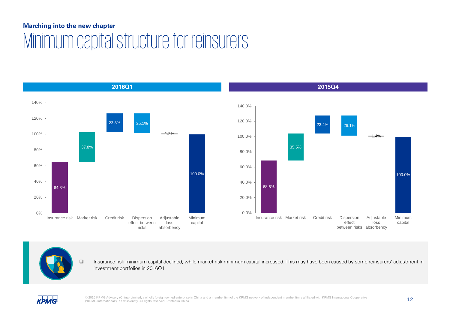## **Marching into the new chapter** Minimum capital structure for reinsurers



 Insurance risk minimum capital declined, while market risk minimum capital increased. This may have been caused by some reinsurers' adjustment in investment portfolios in 2016Q1

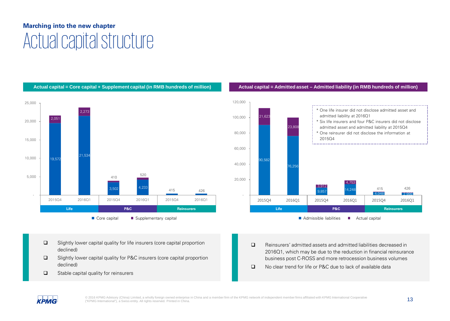## **Marching into the new chapter** Actual capital structure



#### **Actual capital = Core capital + Supplement capital (in RMB hundreds of million) Actual capital = Admitted asset – Admitted liability (in RMB hundreds of million)**



■ Admissible liabilities ■ Actual capital

- $\square$  Slightly lower capital quality for life insurers (core capital proportion declined)
- □ Slightly lower capital quality for P&C insurers (core capital proportion declined)
- $\Box$  Stable capital quality for reinsurers
- Reinsurers' admitted assets and admitted liabilities decreased in 2016Q1, which may be due to the reduction in financial reinsurance business post C-ROSS and more retrocession business volumes
- $\Box$  No clear trend for life or P&C due to lack of available data

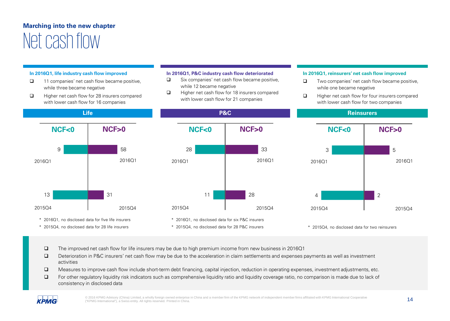## **Marching into the new chapter** Net cash flow

#### **In 2016Q1, life industry cash flow improved**

- $\Box$  11 companies' net cash flow became positive, while three became negative
- $\Box$  Higher net cash flow for 28 insurers compared with lower cash flow for 16 companies

#### **In 2016Q1, P&C industry cash flow deteriorated**

- $\Box$  Six companies' net cash flow became positive, while 12 became negative
- $\Box$  Higher net cash flow for 18 insurers compared with lower cash flow for 21 companies

#### **In 2016Q1, reinsurers' net cash flow improved**

- $\Box$  Two companies' net cash flow became positive, while one became negative
- $\Box$  Higher net cash flow for four insurers compared with lower cash flow for two companies



\* 2015Q4, no disclosed data for 28 life insurers





- The improved net cash flow for life insurers may be due to high premium income from new business in 2016Q1
- Deterioration in P&C insurers' net cash flow may be due to the acceleration in claim settlements and expenses payments as well as investment activities
- □ Measures to improve cash flow include short-term debt financing, capital injection, reduction in operating expenses, investment adjustments, etc.
- For other regulatory liquidity risk indicators such as comprehensive liquidity ratio and liquidity coverage ratio, no comparison is made due to lack of consistency in disclosed data



© 2016 KPMG Advisory (China) Limited, a wholly foreign owned enterprise in China and a member firm of the KPMG network of independent member firms affiliated with KPMG International Cooperative 14<br>
14 ("KPMG International"), a Swiss entity. All rights reserved. Printed in China.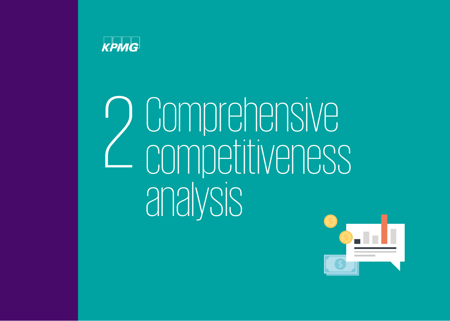

# 2 Comprehensive competitiveness analysis

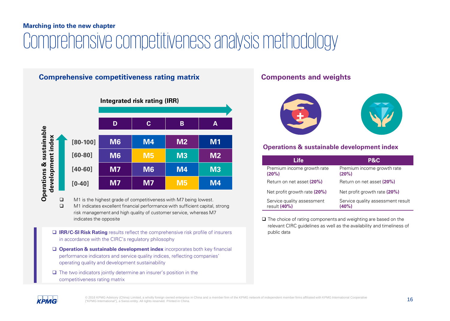## **Marching into the new chapter** Comprehensive competitiveness analysis methodology

### **Comprehensive competitiveness rating matrix <b>Components** and weights



M1 is the highest grade of competitiveness with M7 being lowest.

 M1 indicates excellent financial performance with sufficient capital, strong risk management and high quality of customer service, whereas M7 indicates the opposite

- **IRR/C-SI Risk Rating** results reflect the comprehensive risk profile of insurers in accordance with the CIRC's regulatory philosophy
- **Operation & sustainable development index** incorporates both key financial performance indicators and service quality indices, reflecting companies' operating quality and development sustainability
- $\Box$  The two indicators jointly determine an insurer's position in the competitiveness rating matrix



#### **Operations & sustainable development index**

| <b>Life</b>                                | <b>P&amp;C</b>                                |
|--------------------------------------------|-----------------------------------------------|
| Premium income growth rate<br>(20%)        | Premium income growth rate<br>(20%)           |
| Return on net asset (20%)                  | Return on net asset (20%)                     |
| Net profit growth rate (20%)               | Net profit growth rate (20%)                  |
| Service quality assessment<br>result (40%) | Service quality assessment result<br>$(40\%)$ |

 $\Box$  The choice of rating components and weighting are based on the relevant CIRC guidelines as well as the availability and timeliness of public data

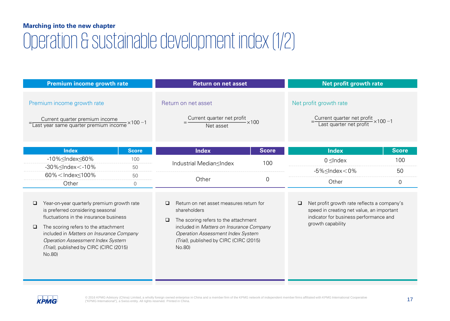## **Marching into the new chapter** Operation & sustainable development index(1/2)

| Premium income growth rate                                                                                                                                                                                                                                                                                                                    |              | <b>Return on net asset</b>                                                                                                                                                                                                                        |              | Net profit growth rate                                                                                                                                       |              |
|-----------------------------------------------------------------------------------------------------------------------------------------------------------------------------------------------------------------------------------------------------------------------------------------------------------------------------------------------|--------------|---------------------------------------------------------------------------------------------------------------------------------------------------------------------------------------------------------------------------------------------------|--------------|--------------------------------------------------------------------------------------------------------------------------------------------------------------|--------------|
| Premium income growth rate<br>$=\frac{Current\ quarter\ premium\ income}{Last\ year\ same\ quarter\ premium\ income} \times 100 - 1$                                                                                                                                                                                                          |              | Return on net asset<br>Current quarter net profit<br>Net asset                                                                                                                                                                                    | $-x100$      | Net profit growth rate<br>-Current quarter net profit<br>Last quarter net profit ×100-1                                                                      |              |
| <b>Index</b>                                                                                                                                                                                                                                                                                                                                  | <b>Score</b> | <b>Index</b>                                                                                                                                                                                                                                      | <b>Score</b> | <b>Index</b>                                                                                                                                                 | <b>Score</b> |
| -10%≤Index≤60%                                                                                                                                                                                                                                                                                                                                | 100          | Industrial MediansIndex                                                                                                                                                                                                                           | 100          | $0 \leq$ Index                                                                                                                                               | 100          |
| $-30\% \leq$ Index $<$ -10%                                                                                                                                                                                                                                                                                                                   | 50           |                                                                                                                                                                                                                                                   |              | $-5\% \leq$ Index $<$ 0%                                                                                                                                     | 50           |
| 60% <lndex <100%<="" td=""><td>50</td><td>Other</td><td>0</td><td>Other</td><td><math>\mathbf 0</math></td></lndex>                                                                                                                                                                                                                           | 50           | Other                                                                                                                                                                                                                                             | 0            | Other                                                                                                                                                        | $\mathbf 0$  |
| Other<br>$\Omega$<br>Year-on-year quarterly premium growth rate<br>is preferred considering seasonal<br>fluctuations in the insurance business<br>The scoring refers to the attachment<br>$\Box$<br>included in Matters on Insurance Company<br><b>Operation Assessment Index System</b><br>(Trial), published by CIRC (CIRC (2015)<br>No.80) |              | Return on net asset measures return for<br>shareholders<br>The scoring refers to the attachment<br>□<br>included in Matters on Insurance Company<br><b>Operation Assessment Index System</b><br>(Trial), published by CIRC (CIRC (2015)<br>No.80) |              | Net profit growth rate reflects a company's<br>□<br>speed in creating net value, an important<br>indicator for business performance and<br>growth capability |              |

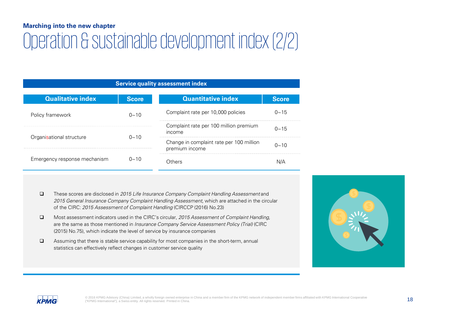## Operation & sustainable development index(2/2)

| <b>Service quality assessment index</b>                  |                  |                                                            |              |  |  |  |
|----------------------------------------------------------|------------------|------------------------------------------------------------|--------------|--|--|--|
| <b>Qualitative index</b>                                 | <b>Score</b>     | <b>Quantitative index</b>                                  | <b>Score</b> |  |  |  |
| Policy framework                                         | $0 - 10$         | Complaint rate per 10,000 policies                         |              |  |  |  |
| Organisational structure<br>Emergency response mechanism | $0 - 10$<br>በ~10 | Complaint rate per 100 million premium<br>income           | $0 \sim 15$  |  |  |  |
|                                                          |                  | Change in complaint rate per 100 million<br>premium income | $0 - 10$     |  |  |  |
|                                                          |                  | .)thers                                                    |              |  |  |  |

- $\Box$  These scores are disclosed in 2015 Life Insurance Company Complaint Handling Assessment and 2015 General Insurance Company Complaint Handling Assessment, which are attached in the circular of the CIRC: 2015 Assessment of Complaint Handling (CIRCCP (2016) No.23)
- Most assessment indicators used in the CIRC's circular, 2015 Assessment of Complaint Handling, are the same as those mentioned in *Insurance Company Service Assessment Policy (Trial)* (CIRC (2015) No.75), which indicate the level of service by insurance companies
- $\Box$  Assuming that there is stable service capability for most companies in the short-term, annual statistics can effectively reflect changes in customer service quality



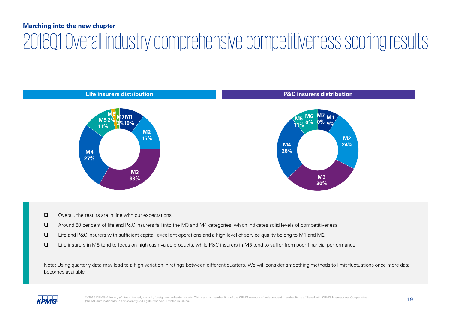## **Marching into the new chapter** 2016Q1 Overall industry comprehensive competitiveness scoring results



- $\Box$  Overall, the results are in line with our expectations
- Around 60 per cent of life and P&C insurers fall into the M3 and M4 categories, which indicates solid levels of competitiveness
- Life and P&C insurers with sufficient capital, excellent operations and a high level of service quality belong to M1 and M2
- Life insurers in M5 tend to focus on high cash value products, while P&C insurers in M5 tend to suffer from poor financial performance

Note: Using quarterly data may lead to a high variation in ratings between different quarters. We will consider smoothing methods to limit fluctuations once more data becomes available

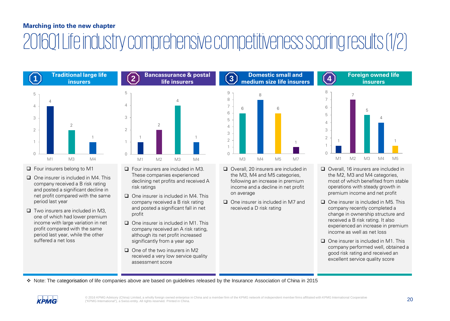## 2016Q1 Life industry comprehensive competitiveness scoring results (1/2)



- □ Four insurers belong to M1
- $\Box$  One insurer is included in M4. This company received a B risk rating and posted a significant decline in net profit compared with the same period last year
- $\Box$  Two insurers are included in M3. one of which had lower premium income with large variation in net profit compared with the same period last year, while the other suffered a net loss



**Bancassurance & postal** 

- □ Four insurers are included in M3. These companies experienced declining net profits and received A risk ratings
- $\Box$  One insurer is included in M4. This company received a B risk rating and posted a significant fall in net profit
- $\Box$  One insurer is included in M1. This company received an A risk rating, although its net profit increased significantly from a year ago
- $\Box$  One of the two insurers in M2 received a very low service quality assessment score



- □ Overall, 20 insurers are included in the M3, M4 and M5 categories, following an increase in premium income and a decline in net profit on average
- □ One insurer is included in M7 and received a D risk rating



**Foreign owned life** 

- Overall, 16 insurers are included in the M2, M3 and M4 categories, most of which benefited from stable operations with steady growth in premium income and net profit
- $\Box$  One insurer is included in M5. This company recently completed a change in ownership structure and received a B risk rating. It also experienced an increase in premium income as well as net loss
- $\Box$  One insurer is included in M1. This company performed well, obtained a good risk rating and received an excellent service quality score

Note: The categorisation of life companies above are based on guidelines released by the Insurance Association of China in 2015

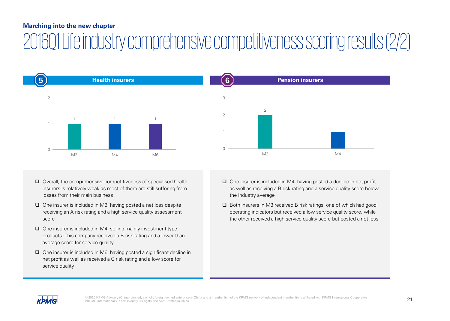## 2016Q1 Life industry comprehensive competitiveness scoring results (2/2)





- □ One insurer is included in M3, having posted a net loss despite receiving an A risk rating and a high service quality assessment score
- $\Box$  One insurer is included in M4, selling mainly investment type products. This company received a B risk rating and a lower than average score for service quality
- □ One insurer is included in M6, having posted a significant decline in net profit as well as received a C risk rating and a low score for service quality



- $\Box$  One insurer is included in M4, having posted a decline in net profit as well as receiving a B risk rating and a service quality score below the industry average
- $\Box$  Both insurers in M3 received B risk ratings, one of which had good operating indicators but received a low service quality score, while the other received a high service quality score but posted a net loss

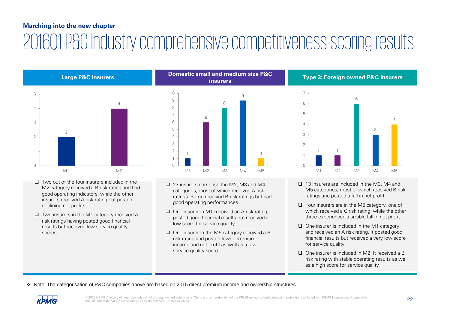## 2016Q1 P&C Industry comprehensive competitiveness scoring results

2 4  $\bigcap$ 1 2 3 4 5  $M1$  M2

- $\Box$  Two out of the four insurers included in the M2 category received a B risk rating and had good operating indicators, while the other insurers received A risk rating but posted declining net profits
- $\Box$  Two insurers in the M1 category received A risk ratings having posted good financial results but received low service quality scores



- □ 23 insurers comprise the M2, M3 and M4 categories, most of which received A risk ratings. Some received B risk ratings but had good operating performances
- $\Box$  One insurer in M1 received an A risk rating. posted good financial results but received a low score for service quality
- $\Box$  One insurer in the M5 category received a B risk rating and posted lower premium income and net profit as well as a low service quality score



- □ 13 insurers are included in the M3, M4 and M5 categories, most of which received B risk ratings and posted a fall in net profit
- $\Box$  Four insurers are in the M5 category, one of which received a C risk rating, while the other three experienced a sizable fall in net profit
- $\Box$  One insurer is included in the M1 category and received an A risk rating. It posted good financial results but received a very low score for service quality
- One insurer is included in M2. It received a B risk rating with stable operating results as well as a high score for service quality

Note: The categorisation of P&C companies above are based on 2015 direct premium income and ownership structures

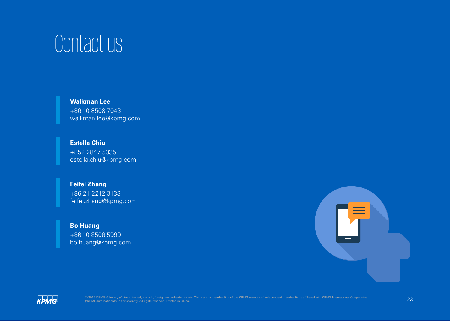# Contact us

**Walkman Lee** +86 10 8508 7043 walkman.lee@kpmg.com

**Estella Chiu** +852 2847 5035 estella.chiu@kpmg.com

#### **Feifei Zhang**

+86 21 2212 3133 feifei.zhang@kpmg.com

#### **Bo Huang**

+86 10 8508 5999 bo.huang@kpmg.com



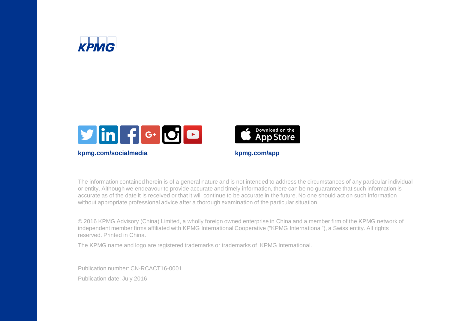



**kpmg.com/socialmedia kpmg.com/app**



The information contained herein is of a general nature and is not intended to address the circumstances of any particular individual or entity. Although we endeavour to provide accurate and timely information, there can be no guarantee that such information is accurate as of the date it is received or that it will continue to be accurate in the future. No one should act on such information without appropriate professional advice after a thorough examination of the particular situation.

© 2016 KPMG Advisory (China) Limited, a wholly foreign owned enterprise in China and a member firm of the KPMG network of independent member firms affiliated with KPMG International Cooperative ("KPMG International"), a Swiss entity. All rights reserved. Printed in China.

The KPMG name and logo are registered trademarks or trademarks of KPMG International.

Publication number: CN-RCACT16-0001 Publication date: July 2016